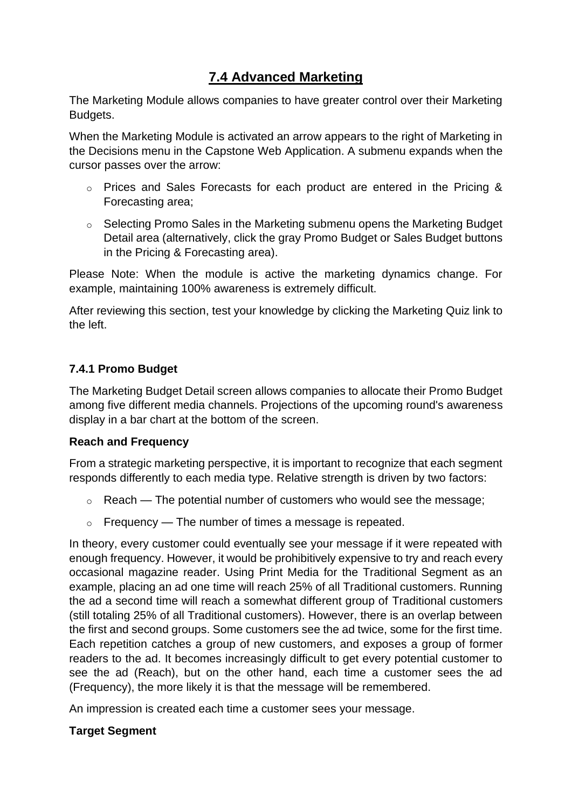# **7.4 Advanced Marketing**

The Marketing Module allows companies to have greater control over their Marketing Budgets.

When the Marketing Module is activated an arrow appears to the right of Marketing in the Decisions menu in the Capstone Web Application. A submenu expands when the cursor passes over the arrow:

- o Prices and Sales Forecasts for each product are entered in the Pricing & Forecasting area;
- o Selecting Promo Sales in the Marketing submenu opens the Marketing Budget Detail area (alternatively, click the gray Promo Budget or Sales Budget buttons in the Pricing & Forecasting area).

Please Note: When the module is active the marketing dynamics change. For example, maintaining 100% awareness is extremely difficult.

After reviewing this section, test your knowledge by clicking the Marketing Quiz link to the left.

### **7.4.1 Promo Budget**

The Marketing Budget Detail screen allows companies to allocate their Promo Budget among five different media channels. Projections of the upcoming round's awareness display in a bar chart at the bottom of the screen.

### **Reach and Frequency**

From a strategic marketing perspective, it is important to recognize that each segment responds differently to each media type. Relative strength is driven by two factors:

- $\circ$  Reach The potential number of customers who would see the message:
- $\circ$  Frequency The number of times a message is repeated.

In theory, every customer could eventually see your message if it were repeated with enough frequency. However, it would be prohibitively expensive to try and reach every occasional magazine reader. Using Print Media for the Traditional Segment as an example, placing an ad one time will reach 25% of all Traditional customers. Running the ad a second time will reach a somewhat different group of Traditional customers (still totaling 25% of all Traditional customers). However, there is an overlap between the first and second groups. Some customers see the ad twice, some for the first time. Each repetition catches a group of new customers, and exposes a group of former readers to the ad. It becomes increasingly difficult to get every potential customer to see the ad (Reach), but on the other hand, each time a customer sees the ad (Frequency), the more likely it is that the message will be remembered.

An impression is created each time a customer sees your message.

## **Target Segment**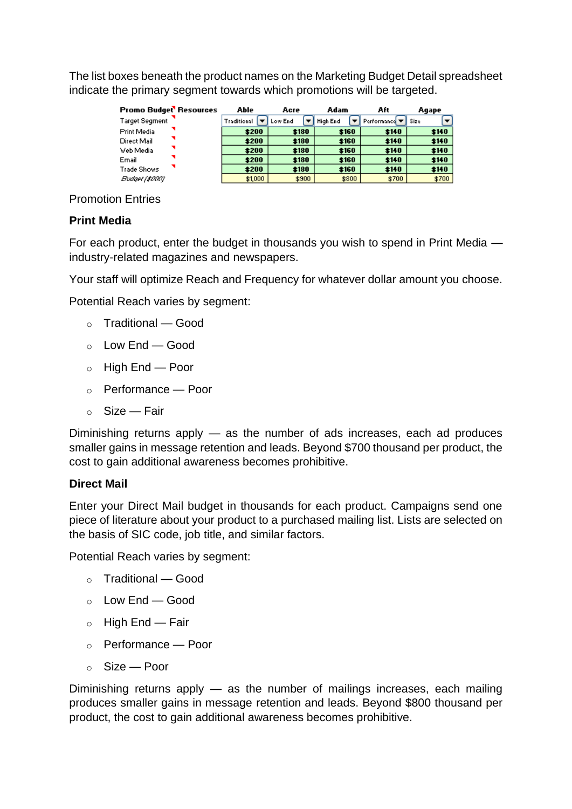The list boxes beneath the product names on the Marketing Budget Detail spreadsheet indicate the primary segment towards which promotions will be targeted.

| Promo Budget Resources | Able        | Acre    | Adam     |       | Aft                                                   |      | Agape |
|------------------------|-------------|---------|----------|-------|-------------------------------------------------------|------|-------|
| <b>Target Segment</b>  | Traditional | Low End | High End |       | $\blacktriangledown$ Performance $\blacktriangledown$ | Size |       |
| Print Media            | \$200       | \$180   | \$160    |       | \$140                                                 |      | \$140 |
| Direct Mail            | \$200       | \$180   | \$160    |       | \$140                                                 |      | \$140 |
| Web Media              | \$200       | \$180   | \$160    |       | \$140                                                 |      | \$140 |
| Email                  | \$200       | \$180   | \$160    |       | \$140                                                 |      | \$140 |
| <b>Trade Shows</b>     | \$200       | \$180   | \$160    |       | \$140                                                 |      | \$140 |
| Budget (\$000)         | \$1,000     | \$900   |          | \$800 | \$700                                                 |      | \$700 |

Promotion Entries

### **Print Media**

For each product, enter the budget in thousands you wish to spend in Print Media industry-related magazines and newspapers.

Your staff will optimize Reach and Frequency for whatever dollar amount you choose.

Potential Reach varies by segment:

- o Traditional Good
- $\circ$  Low End Good
- o High End Poor
- o Performance Poor
- $\circ$  Size Fair

Diminishing returns apply — as the number of ads increases, each ad produces smaller gains in message retention and leads. Beyond \$700 thousand per product, the cost to gain additional awareness becomes prohibitive.

#### **Direct Mail**

Enter your Direct Mail budget in thousands for each product. Campaigns send one piece of literature about your product to a purchased mailing list. Lists are selected on the basis of SIC code, job title, and similar factors.

Potential Reach varies by segment:

- o Traditional Good
- $\circ$  Low End Good
- $\circ$  High End Fair
- o Performance Poor
- o Size Poor

Diminishing returns apply — as the number of mailings increases, each mailing produces smaller gains in message retention and leads. Beyond \$800 thousand per product, the cost to gain additional awareness becomes prohibitive.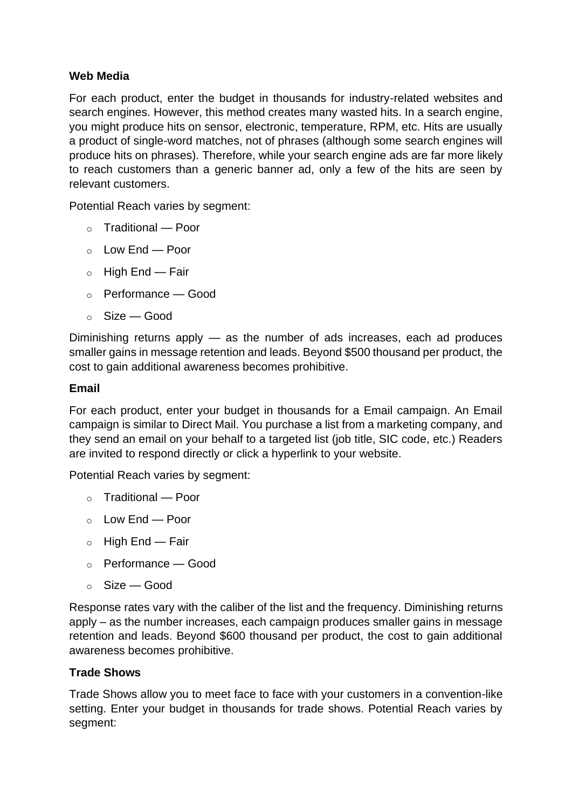### **Web Media**

For each product, enter the budget in thousands for industry-related websites and search engines. However, this method creates many wasted hits. In a search engine, you might produce hits on sensor, electronic, temperature, RPM, etc. Hits are usually a product of single-word matches, not of phrases (although some search engines will produce hits on phrases). Therefore, while your search engine ads are far more likely to reach customers than a generic banner ad, only a few of the hits are seen by relevant customers.

Potential Reach varies by segment:

- o Traditional Poor
- $\sim$  Low End Poor
- $\circ$  High End Fair
- o Performance Good
- $\circ$  Size Good

Diminishing returns apply — as the number of ads increases, each ad produces smaller gains in message retention and leads. Beyond \$500 thousand per product, the cost to gain additional awareness becomes prohibitive.

#### **Email**

For each product, enter your budget in thousands for a Email campaign. An Email campaign is similar to Direct Mail. You purchase a list from a marketing company, and they send an email on your behalf to a targeted list (job title, SIC code, etc.) Readers are invited to respond directly or click a hyperlink to your website.

Potential Reach varies by segment:

- o Traditional Poor
- o Low End Poor
- $\circ$  High End Fair
- o Performance Good
- $\circ$  Size Good

Response rates vary with the caliber of the list and the frequency. Diminishing returns apply – as the number increases, each campaign produces smaller gains in message retention and leads. Beyond \$600 thousand per product, the cost to gain additional awareness becomes prohibitive.

#### **Trade Shows**

Trade Shows allow you to meet face to face with your customers in a convention-like setting. Enter your budget in thousands for trade shows. Potential Reach varies by segment: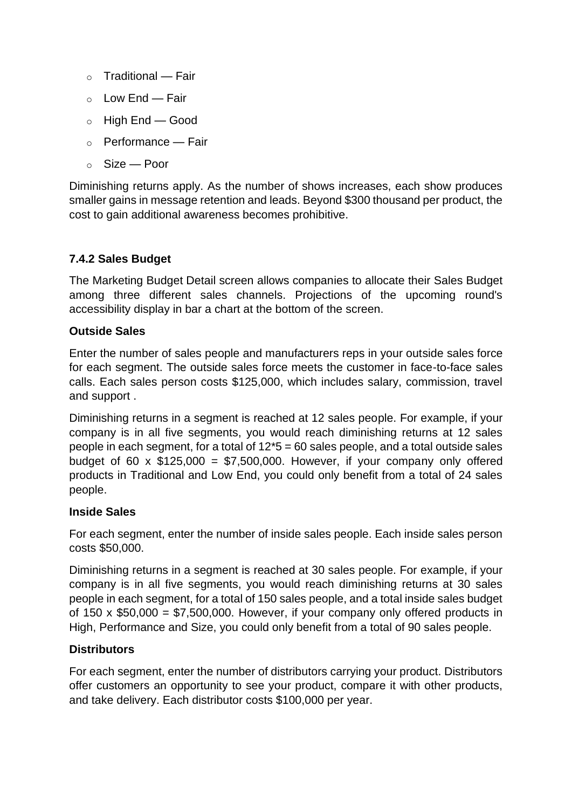- $\circ$  Traditional Fair
- o Low End Fair
- o High End Good
- o Performance Fair
- o Size Poor

Diminishing returns apply. As the number of shows increases, each show produces smaller gains in message retention and leads. Beyond \$300 thousand per product, the cost to gain additional awareness becomes prohibitive.

### **7.4.2 Sales Budget**

The Marketing Budget Detail screen allows companies to allocate their Sales Budget among three different sales channels. Projections of the upcoming round's accessibility display in bar a chart at the bottom of the screen.

### **Outside Sales**

Enter the number of sales people and manufacturers reps in your outside sales force for each segment. The outside sales force meets the customer in face-to-face sales calls. Each sales person costs \$125,000, which includes salary, commission, travel and support .

Diminishing returns in a segment is reached at 12 sales people. For example, if your company is in all five segments, you would reach diminishing returns at 12 sales people in each segment, for a total of  $12*5 = 60$  sales people, and a total outside sales budget of 60 x  $$125,000 = $7,500,000$ . However, if your company only offered products in Traditional and Low End, you could only benefit from a total of 24 sales people.

### **Inside Sales**

For each segment, enter the number of inside sales people. Each inside sales person costs \$50,000.

Diminishing returns in a segment is reached at 30 sales people. For example, if your company is in all five segments, you would reach diminishing returns at 30 sales people in each segment, for a total of 150 sales people, and a total inside sales budget of 150 x  $$50,000 = $7,500,000$ . However, if your company only offered products in High, Performance and Size, you could only benefit from a total of 90 sales people.

### **Distributors**

For each segment, enter the number of distributors carrying your product. Distributors offer customers an opportunity to see your product, compare it with other products, and take delivery. Each distributor costs \$100,000 per year.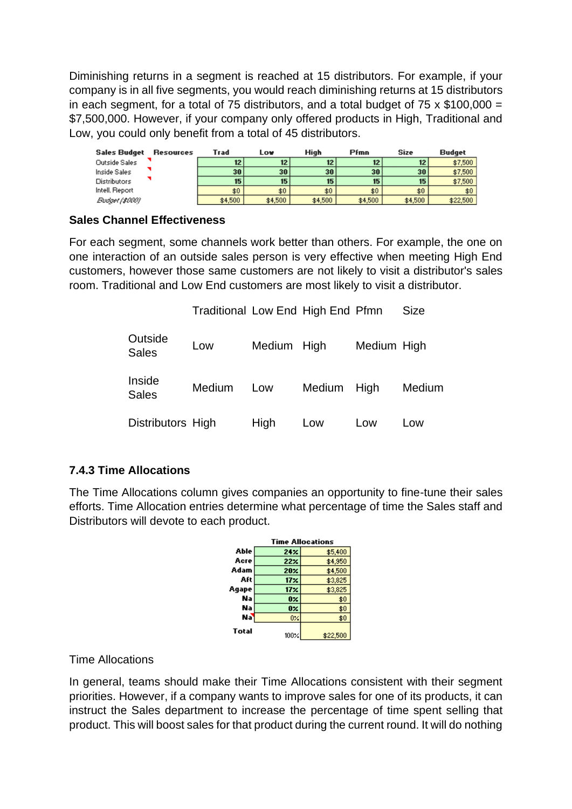Diminishing returns in a segment is reached at 15 distributors. For example, if your company is in all five segments, you would reach diminishing returns at 15 distributors in each segment, for a total of 75 distributors, and a total budget of 75  $\times$  \$100,000 = \$7,500,000. However, if your company only offered products in High, Traditional and Low, you could only benefit from a total of 45 distributors.

| Sales Budget   | Resources | Trad    | Lo₩     | High              | Pfmn    | <b>Size</b>       | <b>Budget</b> |
|----------------|-----------|---------|---------|-------------------|---------|-------------------|---------------|
| Outside Sales  |           | 12      | 12      | $12 \overline{ }$ | 12      | $12 \overline{ }$ | \$7,500       |
| Inside Sales   |           | 30      | 30      | 30                | 30      | 30                | \$7,500       |
| Distributors   |           | 15      | 15      | 15                | 15      | 15                | \$7,500       |
| Intell. Report |           | \$0\$   | \$0     | \$0               | \$0     | \$0               | \$0.          |
| Budget (\$000) |           | \$4,500 | \$4,500 | \$4,500           | \$4,500 | \$4,500           | \$22,500      |

### **Sales Channel Effectiveness**

For each segment, some channels work better than others. For example, the one on one interaction of an outside sales person is very effective when meeting High End customers, however those same customers are not likely to visit a distributor's sales room. Traditional and Low End customers are most likely to visit a distributor.

Traditional Low End High End Pfmn Size

| Outside<br><b>Sales</b> | Low    | Medium High |             | Medium High |        |
|-------------------------|--------|-------------|-------------|-------------|--------|
| Inside<br><b>Sales</b>  | Medium | Low         | Medium High |             | Medium |
| Distributors High       |        | High        | Low         | Low         | Low    |

### **7.4.3 Time Allocations**

The Time Allocations column gives companies an opportunity to fine-tune their sales efforts. Time Allocation entries determine what percentage of time the Sales staff and Distributors will devote to each product.

|       | <b>Time Allocations</b> |          |  |  |  |  |
|-------|-------------------------|----------|--|--|--|--|
| Able  | 24 <sub>X</sub>         | \$5,400  |  |  |  |  |
| Acre  | 22%                     | \$4,950  |  |  |  |  |
| Adam  | <b>20%</b>              | \$4,500  |  |  |  |  |
| Aft   | 17 <sub>X</sub>         | \$3,825  |  |  |  |  |
| Aqape | 17 <sub>X</sub>         | \$3,825  |  |  |  |  |
| Na    | 0×                      | \$0      |  |  |  |  |
| Na    | 0%                      | \$0      |  |  |  |  |
| Na    | 0%                      | \$0      |  |  |  |  |
| Total | $100\%$                 | \$22,500 |  |  |  |  |

### Time Allocations

In general, teams should make their Time Allocations consistent with their segment priorities. However, if a company wants to improve sales for one of its products, it can instruct the Sales department to increase the percentage of time spent selling that product. This will boost sales for that product during the current round. It will do nothing